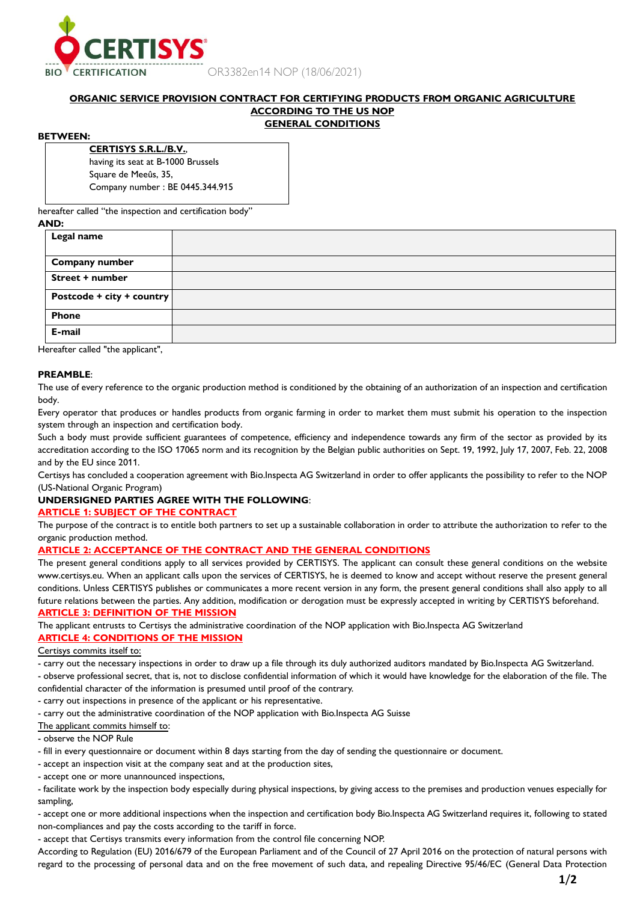

OR3382en14 NOP (18/06/2021)

## **ORGANIC SERVICE PROVISION CONTRACT FOR CERTIFYING PRODUCTS FROM ORGANIC AGRICULTURE ACCORDING TO THE US NOP GENERAL CONDITIONS**

## **BETWEEN:**

**CERTISYS S.R.L./B.V.**, having its seat at B-1000 Brussels Square de Meeûs, 35, Company number : BE 0445.344.915

hereafter called "the inspection and certification body"

# **AND: Legal name Company number Street + number Postcode + city + country Phone E-mail**

Hereafter called "the applicant",

## **PREAMBLE**:

The use of every reference to the organic production method is conditioned by the obtaining of an authorization of an inspection and certification body.

Every operator that produces or handles products from organic farming in order to market them must submit his operation to the inspection system through an inspection and certification body.

Such a body must provide sufficient guarantees of competence, efficiency and independence towards any firm of the sector as provided by its accreditation according to the ISO 17065 norm and its recognition by the Belgian public authorities on Sept. 19, 1992, July 17, 2007, Feb. 22, 2008 and by the EU since 2011.

Certisys has concluded a cooperation agreement with Bio.Inspecta AG Switzerland in order to offer applicants the possibility to refer to the NOP (US-National Organic Program)

## **UNDERSIGNED PARTIES AGREE WITH THE FOLLOWING**:

## **ARTICLE 1: SUBJECT OF THE CONTRACT**

The purpose of the contract is to entitle both partners to set up a sustainable collaboration in order to attribute the authorization to refer to the organic production method.

## **ARTICLE 2: ACCEPTANCE OF THE CONTRACT AND THE GENERAL CONDITIONS**

The present general conditions apply to all services provided by CERTISYS. The applicant can consult these general conditions on the website www.certisys.eu. When an applicant calls upon the services of CERTISYS, he is deemed to know and accept without reserve the present general conditions. Unless CERTISYS publishes or communicates a more recent version in any form, the present general conditions shall also apply to all future relations between the parties. Any addition, modification or derogation must be expressly accepted in writing by CERTISYS beforehand. **ARTICLE 3: DEFINITION OF THE MISSION**

The applicant entrusts to Certisys the administrative coordination of the NOP application with Bio.Inspecta AG Switzerland

## **ARTICLE 4: CONDITIONS OF THE MISSION**

Certisys commits itself to:

- carry out the necessary inspections in order to draw up a file through its duly authorized auditors mandated by Bio.Inspecta AG Switzerland.

- observe professional secret, that is, not to disclose confidential information of which it would have knowledge for the elaboration of the file. The confidential character of the information is presumed until proof of the contrary.

- carry out inspections in presence of the applicant or his representative.

- carry out the administrative coordination of the NOP application with Bio.Inspecta AG Suisse

The applicant commits himself to:

## - observe the NOP Rule

- fill in every questionnaire or document within 8 days starting from the day of sending the questionnaire or document.
- accept an inspection visit at the company seat and at the production sites,
- accept one or more unannounced inspections,

- facilitate work by the inspection body especially during physical inspections, by giving access to the premises and production venues especially for sampling,

- accept one or more additional inspections when the inspection and certification body Bio.Inspecta AG Switzerland requires it, following to stated non-compliances and pay the costs according to the tariff in force.

- accept that Certisys transmits every information from the control file concerning NOP.

According to Regulation (EU) 2016/679 of the European Parliament and of the Council of 27 April 2016 on the protection of natural persons with regard to the processing of personal data and on the free movement of such data, and repealing Directive 95/46/EC (General Data Protection